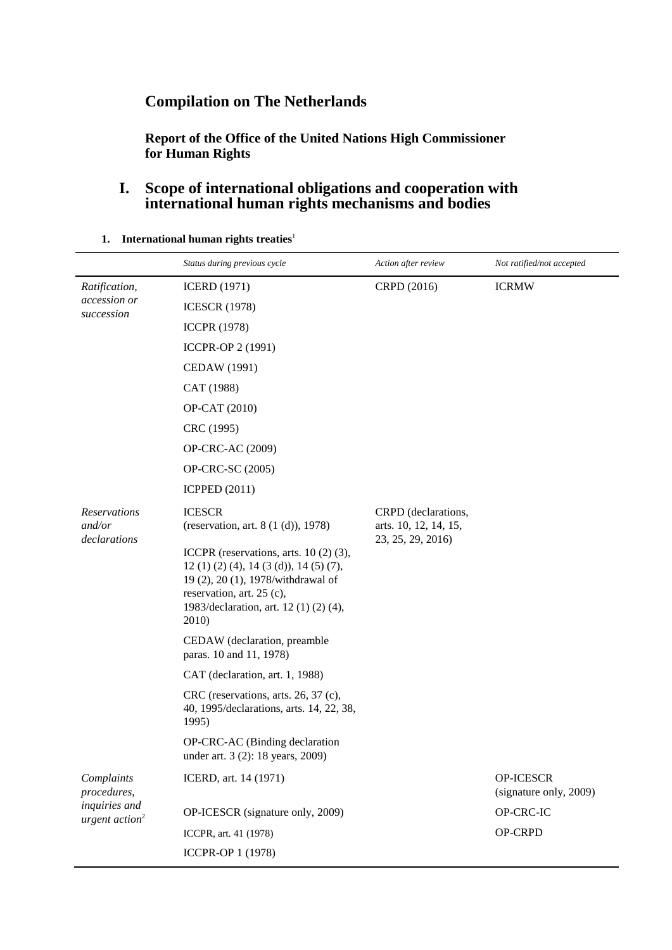# **Compilation on The Netherlands**

**Report of the Office of the United Nations High Commissioner for Human Rights**

### **I. Scope of international obligations and cooperation with international human rights mechanisms and bodies**

|                                             | Status during previous cycle                                                                                                                                                                               | Action after review                                               | Not ratified/not accepted           |  |
|---------------------------------------------|------------------------------------------------------------------------------------------------------------------------------------------------------------------------------------------------------------|-------------------------------------------------------------------|-------------------------------------|--|
| Ratification,                               | <b>ICERD</b> (1971)                                                                                                                                                                                        | CRPD (2016)                                                       | <b>ICRMW</b>                        |  |
| accession or<br>succession                  | <b>ICESCR (1978)</b>                                                                                                                                                                                       |                                                                   |                                     |  |
|                                             | <b>ICCPR (1978)</b>                                                                                                                                                                                        |                                                                   |                                     |  |
|                                             | ICCPR-OP 2 (1991)                                                                                                                                                                                          |                                                                   |                                     |  |
|                                             | CEDAW (1991)                                                                                                                                                                                               |                                                                   |                                     |  |
|                                             | CAT (1988)                                                                                                                                                                                                 |                                                                   |                                     |  |
|                                             | OP-CAT (2010)                                                                                                                                                                                              |                                                                   |                                     |  |
|                                             | CRC (1995)                                                                                                                                                                                                 |                                                                   |                                     |  |
|                                             | <b>OP-CRC-AC (2009)</b>                                                                                                                                                                                    |                                                                   |                                     |  |
|                                             | OP-CRC-SC (2005)                                                                                                                                                                                           |                                                                   |                                     |  |
|                                             | <b>ICPPED</b> (2011)                                                                                                                                                                                       |                                                                   |                                     |  |
| Reservations<br>and/or<br>declarations      | <b>ICESCR</b><br>(reservation, art. 8 (1 (d)), 1978)                                                                                                                                                       | CRPD (declarations,<br>arts. 10, 12, 14, 15,<br>23, 25, 29, 2016) |                                     |  |
|                                             | ICCPR (reservations, arts. $10(2)(3)$ ,<br>$12(1)(2)(4)$ , $14(3(d))$ , $14(5)(7)$ ,<br>19 (2), 20 (1), 1978/withdrawal of<br>reservation, art. 25 (c),<br>1983/declaration, art. 12 (1) (2) (4),<br>2010) |                                                                   |                                     |  |
|                                             | CEDAW (declaration, preamble<br>paras. 10 and 11, 1978)                                                                                                                                                    |                                                                   |                                     |  |
|                                             | CAT (declaration, art. 1, 1988)                                                                                                                                                                            |                                                                   |                                     |  |
|                                             | CRC (reservations, arts. 26, 37 (c),<br>40, 1995/declarations, arts. 14, 22, 38,<br>1995)                                                                                                                  |                                                                   |                                     |  |
|                                             | OP-CRC-AC (Binding declaration<br>under art. 3 (2): 18 years, 2009)                                                                                                                                        |                                                                   |                                     |  |
| Complaints<br>procedures,                   | ICERD, art. 14 (1971)                                                                                                                                                                                      |                                                                   | OP-ICESCR<br>(signature only, 2009) |  |
| inquiries and<br>urgent action <sup>2</sup> | OP-ICESCR (signature only, 2009)                                                                                                                                                                           |                                                                   | OP-CRC-IC                           |  |
|                                             | ICCPR, art. 41 (1978)                                                                                                                                                                                      |                                                                   | OP-CRPD                             |  |
|                                             | ICCPR-OP 1 (1978)                                                                                                                                                                                          |                                                                   |                                     |  |

**1.** International human rights treaties<sup>1</sup>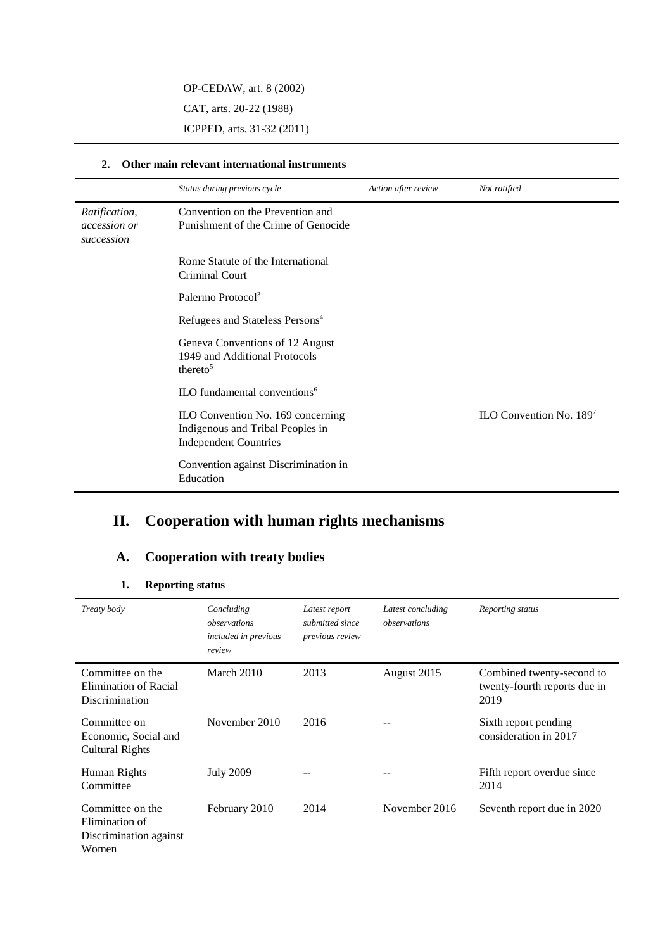OP-CEDAW, art. 8 (2002)

CAT, arts. 20-22 (1988)

ICPPED, arts. 31-32 (2011)

#### **2. Other main relevant international instruments**

|                                                    | Status during previous cycle                                                                          | Action after review | Not ratified               |
|----------------------------------------------------|-------------------------------------------------------------------------------------------------------|---------------------|----------------------------|
| Ratification,<br><i>accession or</i><br>succession | Convention on the Prevention and<br>Punishment of the Crime of Genocide                               |                     |                            |
|                                                    | Rome Statute of the International<br>Criminal Court                                                   |                     |                            |
|                                                    | Palermo Protocol <sup>3</sup>                                                                         |                     |                            |
|                                                    | Refugees and Stateless Persons <sup>4</sup>                                                           |                     |                            |
|                                                    | Geneva Conventions of 12 August<br>1949 and Additional Protocols<br>thereto <sup>5</sup>              |                     |                            |
|                                                    | ILO fundamental conventions <sup>6</sup>                                                              |                     |                            |
|                                                    | ILO Convention No. 169 concerning<br>Indigenous and Tribal Peoples in<br><b>Independent Countries</b> |                     | ILO Convention No. $189^7$ |
|                                                    | Convention against Discrimination in<br>Education                                                     |                     |                            |

# **II. Cooperation with human rights mechanisms**

## **A. Cooperation with treaty bodies**

#### **1. Reporting status**

| Treaty body                                                           | Concluding<br>observations<br><i>included in previous</i><br>review | Latest report<br>submitted since<br>previous review | Latest concluding<br>observations | Reporting status                                                  |
|-----------------------------------------------------------------------|---------------------------------------------------------------------|-----------------------------------------------------|-----------------------------------|-------------------------------------------------------------------|
| Committee on the<br>Elimination of Racial<br>Discrimination           | March 2010                                                          | 2013                                                | August 2015                       | Combined twenty-second to<br>twenty-fourth reports due in<br>2019 |
| Committee on<br>Economic, Social and<br><b>Cultural Rights</b>        | November 2010                                                       | 2016                                                |                                   | Sixth report pending<br>consideration in 2017                     |
| Human Rights<br>Committee                                             | <b>July 2009</b>                                                    |                                                     |                                   | Fifth report overdue since<br>2014                                |
| Committee on the<br>Elimination of<br>Discrimination against<br>Women | February 2010                                                       | 2014                                                | November 2016                     | Seventh report due in 2020                                        |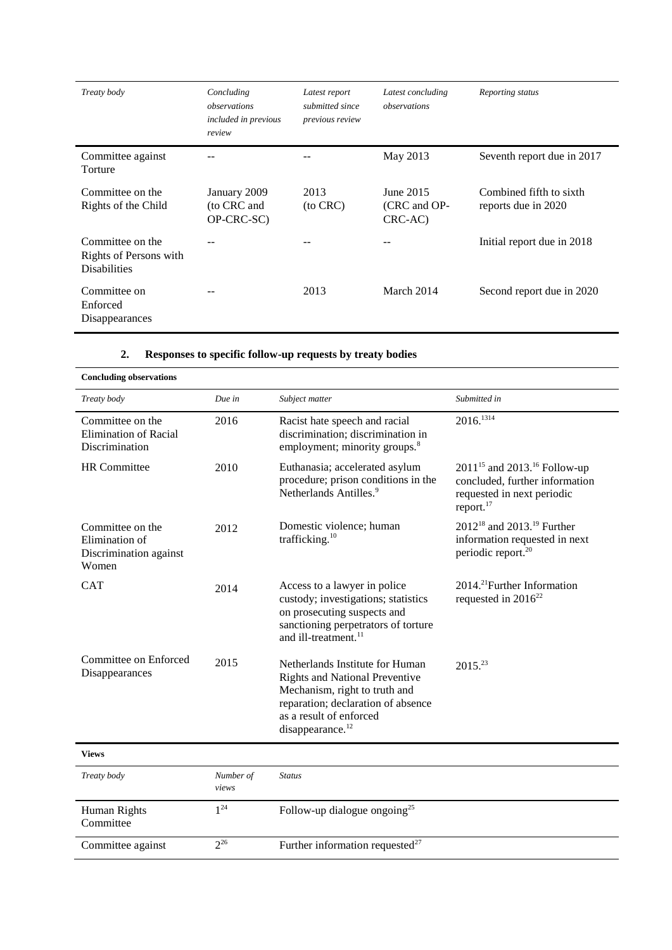| Treaty body                                                       | Concluding<br>observations<br>included in previous<br>review | Latest report<br>submitted since<br>previous review | Latest concluding<br>observations    | Reporting status                               |
|-------------------------------------------------------------------|--------------------------------------------------------------|-----------------------------------------------------|--------------------------------------|------------------------------------------------|
| Committee against<br>Torture                                      |                                                              |                                                     | May 2013                             | Seventh report due in 2017                     |
| Committee on the<br>Rights of the Child                           | January 2009<br>(to CRC and<br>OP-CRC-SC)                    | 2013<br>(to CRC)                                    | June 2015<br>(CRC and OP-<br>CRC-AC) | Combined fifth to sixth<br>reports due in 2020 |
| Committee on the<br>Rights of Persons with<br><b>Disabilities</b> |                                                              |                                                     |                                      | Initial report due in 2018                     |
| Committee on<br>Enforced<br>Disappearances                        |                                                              | 2013                                                | March 2014                           | Second report due in 2020                      |

#### **2. Responses to specific follow-up requests by treaty bodies**

| <b>Concluding observations</b>                                        |                    |                                                                                                                                                                                                            |                                                                                                                                 |
|-----------------------------------------------------------------------|--------------------|------------------------------------------------------------------------------------------------------------------------------------------------------------------------------------------------------------|---------------------------------------------------------------------------------------------------------------------------------|
| Treaty body                                                           | Due in             | Subject matter                                                                                                                                                                                             | Submitted in                                                                                                                    |
| Committee on the<br><b>Elimination of Racial</b><br>Discrimination    | 2016               | Racist hate speech and racial<br>discrimination; discrimination in<br>employment; minority groups. <sup>8</sup>                                                                                            | 2016. <sup>1314</sup>                                                                                                           |
| <b>HR</b> Committee                                                   | 2010               | Euthanasia; accelerated asylum<br>procedure; prison conditions in the<br>Netherlands Antilles. <sup>9</sup>                                                                                                | $2011^{15}$ and $2013.^{16}$ Follow-up<br>concluded, further information<br>requested in next periodic<br>report. <sup>17</sup> |
| Committee on the<br>Elimination of<br>Discrimination against<br>Women | 2012               | Domestic violence; human<br>trafficking. <sup>10</sup>                                                                                                                                                     | $2012^{18}$ and $2013.^{19}$ Further<br>information requested in next<br>periodic report. <sup>20</sup>                         |
| <b>CAT</b>                                                            | 2014               | Access to a lawyer in police<br>custody; investigations; statistics<br>on prosecuting suspects and<br>sanctioning perpetrators of torture<br>and ill-treatment. <sup>11</sup>                              | 2014. <sup>21</sup> Further Information<br>requested in $2016^{22}$                                                             |
| Committee on Enforced<br>Disappearances                               | 2015               | Netherlands Institute for Human<br><b>Rights and National Preventive</b><br>Mechanism, right to truth and<br>reparation; declaration of absence<br>as a result of enforced<br>disappearance. <sup>12</sup> | $2015^{23}$                                                                                                                     |
| <b>Views</b>                                                          |                    |                                                                                                                                                                                                            |                                                                                                                                 |
| Treaty body                                                           | Number of<br>views | <b>Status</b>                                                                                                                                                                                              |                                                                                                                                 |
| Human Rights<br>Committee                                             | $1^{24}$           | Follow-up dialogue ongoing <sup>25</sup>                                                                                                                                                                   |                                                                                                                                 |
| Committee against                                                     | $2^{26}$           | Further information requested <sup>27</sup>                                                                                                                                                                |                                                                                                                                 |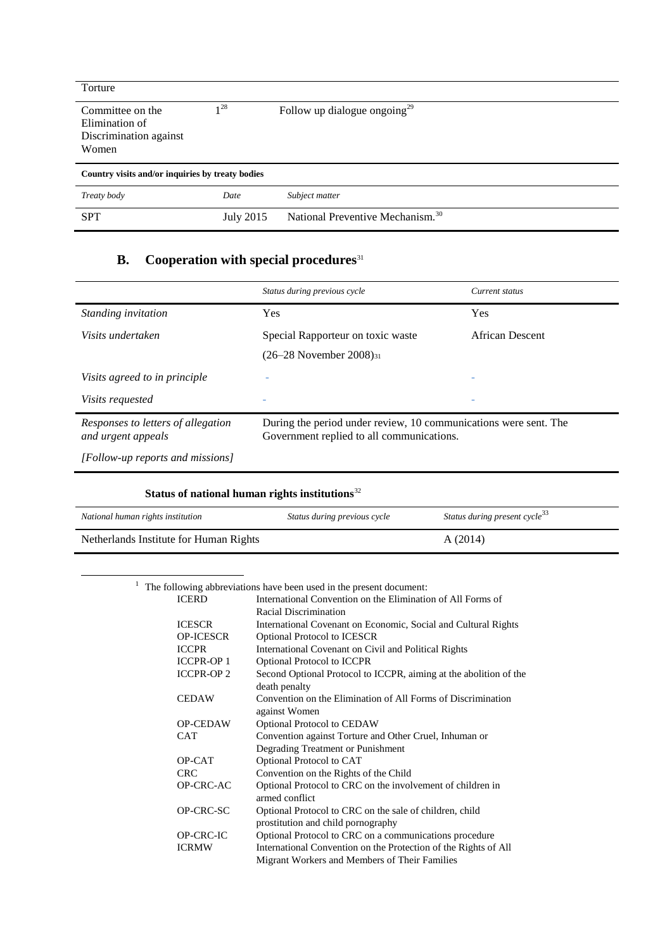| Torture                                                               |                  |                                              |
|-----------------------------------------------------------------------|------------------|----------------------------------------------|
| Committee on the<br>Elimination of<br>Discrimination against<br>Women | $1^{28}$         | Follow up dialogue ongoing <sup>29</sup>     |
| Country visits and/or inquiries by treaty bodies                      |                  |                                              |
| Treaty body                                                           | Date             | Subject matter                               |
| <b>SPT</b>                                                            | <b>July 2015</b> | National Preventive Mechanism. <sup>30</sup> |

## **B.** Cooperation with special procedures<sup>31</sup>

|                                                          | Status during previous cycle                                                                                  | Current status  |
|----------------------------------------------------------|---------------------------------------------------------------------------------------------------------------|-----------------|
| Standing invitation                                      | Yes                                                                                                           | Yes             |
| Visits undertaken                                        | Special Rapporteur on toxic waste                                                                             | African Descent |
|                                                          | $(26-28)$ November 2008) <sub>31</sub>                                                                        |                 |
| Visits agreed to in principle                            |                                                                                                               |                 |
| <i>Visits requested</i>                                  |                                                                                                               | ۰               |
| Responses to letters of allegation<br>and urgent appeals | During the period under review, 10 communications were sent. The<br>Government replied to all communications. |                 |
| [Follow-up reports and missions]                         |                                                                                                               |                 |

| Status of national human rights institutions $32$ |                              |                                           |
|---------------------------------------------------|------------------------------|-------------------------------------------|
| National human rights institution                 | Status during previous cycle | Status during present cycle <sup>33</sup> |
| Netherlands Institute for Human Rights            |                              | A(2014)                                   |

 $1$  The following abbreviations have been used in the present document:

-

|                   | ne following abole viations have been ased in the present document. |
|-------------------|---------------------------------------------------------------------|
| <b>ICERD</b>      | International Convention on the Elimination of All Forms of         |
|                   | Racial Discrimination                                               |
| <b>ICESCR</b>     | International Covenant on Economic, Social and Cultural Rights      |
| <b>OP-ICESCR</b>  | <b>Optional Protocol to ICESCR</b>                                  |
| <b>ICCPR</b>      | International Covenant on Civil and Political Rights                |
| <b>ICCPR-OP 1</b> | Optional Protocol to ICCPR                                          |
| <b>ICCPR-OP 2</b> | Second Optional Protocol to ICCPR, aiming at the abolition of the   |
|                   | death penalty                                                       |
| <b>CEDAW</b>      | Convention on the Elimination of All Forms of Discrimination        |
|                   | against Women                                                       |
| <b>OP-CEDAW</b>   | <b>Optional Protocol to CEDAW</b>                                   |
| <b>CAT</b>        | Convention against Torture and Other Cruel, Inhuman or              |
|                   | Degrading Treatment or Punishment                                   |
| OP-CAT            | Optional Protocol to CAT                                            |
| <b>CRC</b>        | Convention on the Rights of the Child                               |
| OP-CRC-AC         | Optional Protocol to CRC on the involvement of children in          |
|                   | armed conflict                                                      |
| OP-CRC-SC         | Optional Protocol to CRC on the sale of children, child             |
|                   | prostitution and child pornography                                  |
| OP-CRC-IC         | Optional Protocol to CRC on a communications procedure              |
| <b>ICRMW</b>      | International Convention on the Protection of the Rights of All     |
|                   | Migrant Workers and Members of Their Families                       |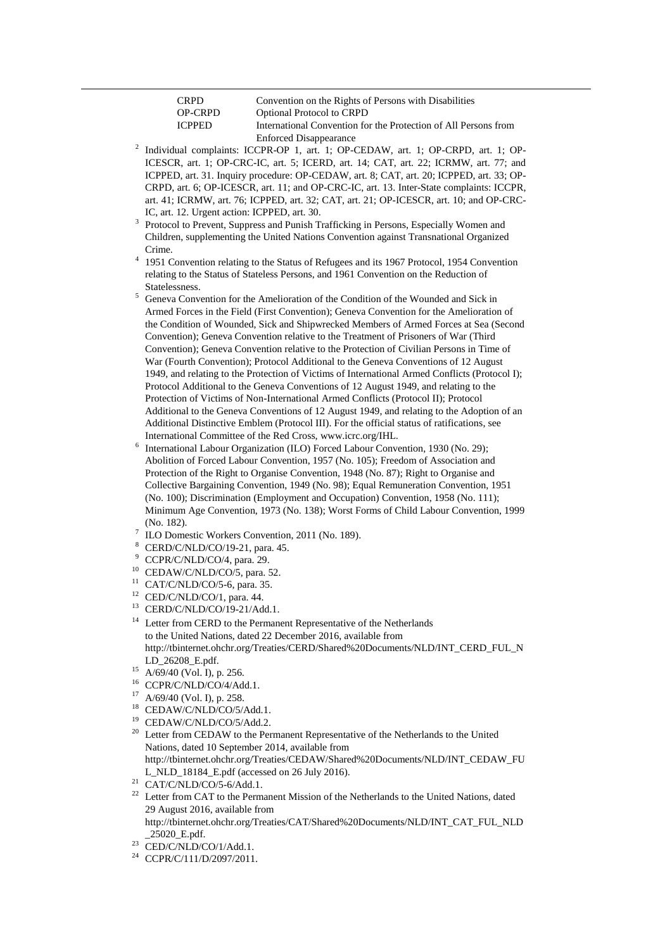| <b>CRPD</b>    | Convention on the Rights of Persons with Disabilities           |
|----------------|-----------------------------------------------------------------|
| <b>OP-CRPD</b> | <b>Optional Protocol to CRPD</b>                                |
| <b>ICPPED</b>  | International Convention for the Protection of All Persons from |
|                | <b>Enforced Disappearance</b>                                   |

2 Individual complaints: ICCPR-OP 1, art. 1; OP-CEDAW, art. 1; OP-CRPD, art. 1; OP-ICESCR, art. 1; OP-CRC-IC, art. 5; ICERD, art. 14; CAT, art. 22; ICRMW, art. 77; and ICPPED, art. 31. Inquiry procedure: OP-CEDAW, art. 8; CAT, art. 20; ICPPED, art. 33; OP-CRPD, art. 6; OP-ICESCR, art. 11; and OP-CRC-IC, art. 13. Inter-State complaints: ICCPR, art. 41; ICRMW, art. 76; ICPPED, art. 32; CAT, art. 21; OP-ICESCR, art. 10; and OP-CRC-IC, art. 12. Urgent action: ICPPED, art. 30.

3 Protocol to Prevent, Suppress and Punish Trafficking in Persons, Especially Women and Children, supplementing the United Nations Convention against Transnational Organized Crime.

<sup>4</sup> 1951 Convention relating to the Status of Refugees and its 1967 Protocol, 1954 Convention relating to the Status of Stateless Persons, and 1961 Convention on the Reduction of Statelessness.

<sup>5</sup> Geneva Convention for the Amelioration of the Condition of the Wounded and Sick in Armed Forces in the Field (First Convention); Geneva Convention for the Amelioration of the Condition of Wounded, Sick and Shipwrecked Members of Armed Forces at Sea (Second Convention); Geneva Convention relative to the Treatment of Prisoners of War (Third Convention); Geneva Convention relative to the Protection of Civilian Persons in Time of War (Fourth Convention); Protocol Additional to the Geneva Conventions of 12 August 1949, and relating to the Protection of Victims of International Armed Conflicts (Protocol I); Protocol Additional to the Geneva Conventions of 12 August 1949, and relating to the Protection of Victims of Non-International Armed Conflicts (Protocol II); Protocol Additional to the Geneva Conventions of 12 August 1949, and relating to the Adoption of an Additional Distinctive Emblem (Protocol III). For the official status of ratifications, see International Committee of the Red Cross, www.icrc.org/IHL.

- 6 International Labour Organization (ILO) Forced Labour Convention, 1930 (No. 29); Abolition of Forced Labour Convention, 1957 (No. 105); Freedom of Association and Protection of the Right to Organise Convention, 1948 (No. 87); Right to Organise and Collective Bargaining Convention, 1949 (No. 98); Equal Remuneration Convention, 1951 (No. 100); Discrimination (Employment and Occupation) Convention, 1958 (No. 111); Minimum Age Convention, 1973 (No. 138); Worst Forms of Child Labour Convention, 1999 (No. 182).
- 7 ILO Domestic Workers Convention, 2011 (No. 189).
- <sup>8</sup> CERD/C/NLD/CO/19-21, para. 45.
- <sup>9</sup> CCPR/C/NLD/CO/4, para. 29.
- <sup>10</sup> CEDAW/C/NLD/CO/5, para. 52.
- <sup>11</sup> CAT/C/NLD/CO/5-6, para. 35.
- $12$  CED/C/NLD/CO/1, para. 44.
- <sup>13</sup> CERD/C/NLD/CO/19-21/Add.1.
- <sup>14</sup> Letter from CERD to the Permanent Representative of the Netherlands to the United Nations, dated 22 December 2016, available from [http://tbinternet.ohchr.org/Treaties/CERD/Shared%20Documents/NLD/INT\\_CERD\\_FUL\\_N](http://tbinternet.ohchr.org/Treaties/CERD/Shared%20Documents/NLD/INT_CERD_FUL_NLD_26208_E.pdf) [LD\\_26208\\_E.pdf.](http://tbinternet.ohchr.org/Treaties/CERD/Shared%20Documents/NLD/INT_CERD_FUL_NLD_26208_E.pdf)
- $15$  A/69/40 (Vol. I), p. 256.

-

- $^{16}$  CCPR/C/NLD/CO/4/Add.1.
- A/69/40 (Vol. I), p. 258.
- $^{18}$  CEDAW/C/NLD/CO/5/Add.1.
- <sup>19</sup> CEDAW/C/NLD/CO/5/Add.2.
- $20$  Letter from CEDAW to the Permanent Representative of the Netherlands to the United Nations, dated 10 September 2014, available from [http://tbinternet.ohchr.org/Treaties/CEDAW/Shared%20Documents/NLD/INT\\_CEDAW\\_FU](http://tbinternet.ohchr.org/Treaties/CEDAW/Shared%20Documents/NLD/INT_CEDAW_FUL_NLD_18184_E.pdf) [L\\_NLD\\_18184\\_E.pdf](http://tbinternet.ohchr.org/Treaties/CEDAW/Shared%20Documents/NLD/INT_CEDAW_FUL_NLD_18184_E.pdf) (accessed on 26 July 2016).
- $21$  CAT/C/NLD/CO/5-6/Add.1.
- <sup>22</sup> Letter from CAT to the Permanent Mission of the Netherlands to the United Nations, dated 29 August 2016, available from

http://tbinternet.ohchr.org/Treaties/CAT/Shared%20Documents/NLD/INT\_CAT\_FUL\_NLD \_25020\_E.pdf.

- $23$  CED/C/NLD/CO/1/Add.1.
- <sup>24</sup> CCPR/C/111/D/2097/2011.